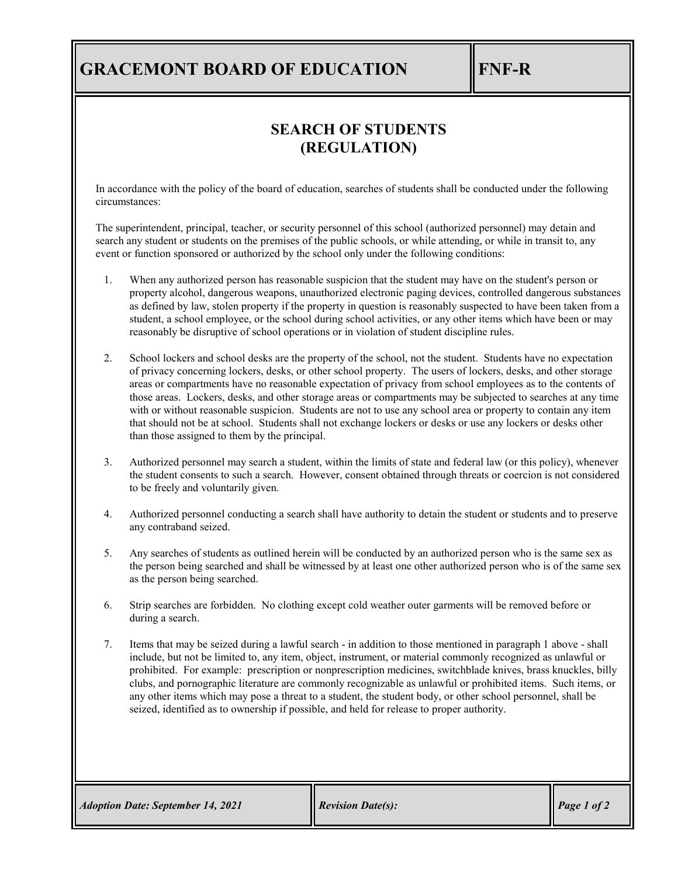## **GRACEMONT BOARD OF EDUCATION FINE-R**

## **SEARCH OF STUDENTS (REGULATION)**

In accordance with the policy of the board of education, searches of students shall be conducted under the following circumstances:

The superintendent, principal, teacher, or security personnel of this school (authorized personnel) may detain and search any student or students on the premises of the public schools, or while attending, or while in transit to, any event or function sponsored or authorized by the school only under the following conditions:

- 1. When any authorized person has reasonable suspicion that the student may have on the student's person or property alcohol, dangerous weapons, unauthorized electronic paging devices, controlled dangerous substances as defined by law, stolen property if the property in question is reasonably suspected to have been taken from a student, a school employee, or the school during school activities, or any other items which have been or may reasonably be disruptive of school operations or in violation of student discipline rules.
- 2. School lockers and school desks are the property of the school, not the student. Students have no expectation of privacy concerning lockers, desks, or other school property. The users of lockers, desks, and other storage areas or compartments have no reasonable expectation of privacy from school employees as to the contents of those areas. Lockers, desks, and other storage areas or compartments may be subjected to searches at any time with or without reasonable suspicion. Students are not to use any school area or property to contain any item that should not be at school. Students shall not exchange lockers or desks or use any lockers or desks other than those assigned to them by the principal.
- 3. Authorized personnel may search a student, within the limits of state and federal law (or this policy), whenever the student consents to such a search. However, consent obtained through threats or coercion is not considered to be freely and voluntarily given.
- 4. Authorized personnel conducting a search shall have authority to detain the student or students and to preserve any contraband seized.
- 5. Any searches of students as outlined herein will be conducted by an authorized person who is the same sex as the person being searched and shall be witnessed by at least one other authorized person who is of the same sex as the person being searched.
- 6. Strip searches are forbidden. No clothing except cold weather outer garments will be removed before or during a search.
- 7. Items that may be seized during a lawful search in addition to those mentioned in paragraph 1 above shall include, but not be limited to, any item, object, instrument, or material commonly recognized as unlawful or prohibited. For example: prescription or nonprescription medicines, switchblade knives, brass knuckles, billy clubs, and pornographic literature are commonly recognizable as unlawful or prohibited items. Such items, or any other items which may pose a threat to a student, the student body, or other school personnel, shall be seized, identified as to ownership if possible, and held for release to proper authority.